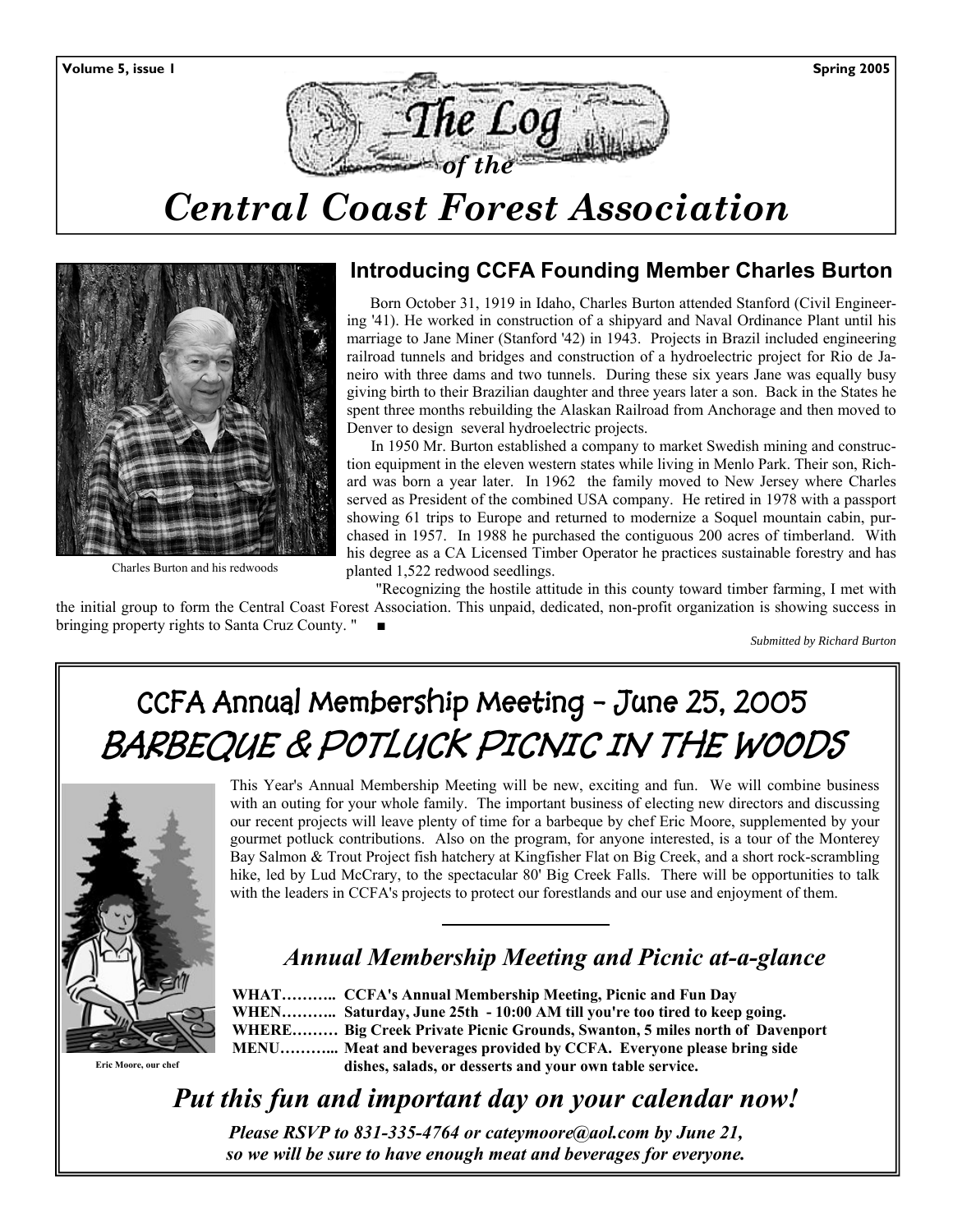

# *Central Coast Forest Association*



Charles Burton and his redwoods

# **Introducing CCFA Founding Member Charles Burton**

 Born October 31, 1919 in Idaho, Charles Burton attended Stanford (Civil Engineering '41). He worked in construction of a shipyard and Naval Ordinance Plant until his marriage to Jane Miner (Stanford '42) in 1943. Projects in Brazil included engineering railroad tunnels and bridges and construction of a hydroelectric project for Rio de Janeiro with three dams and two tunnels. During these six years Jane was equally busy giving birth to their Brazilian daughter and three years later a son. Back in the States he spent three months rebuilding the Alaskan Railroad from Anchorage and then moved to Denver to design several hydroelectric projects.

In 1950 Mr. Burton established a company to market Swedish mining and construction equipment in the eleven western states while living in Menlo Park. Their son, Richard was born a year later. In 1962 the family moved to New Jersey where Charles served as President of the combined USA company. He retired in 1978 with a passport showing 61 trips to Europe and returned to modernize a Soquel mountain cabin, purchased in 1957. In 1988 he purchased the contiguous 200 acres of timberland. With his degree as a CA Licensed Timber Operator he practices sustainable forestry and has planted 1,522 redwood seedlings.

 "Recognizing the hostile attitude in this county toward timber farming, I met with the initial group to form the Central Coast Forest Association. This unpaid, dedicated, non-profit organization is showing success in bringing property rights to Santa Cruz County. "

*Submitted by Richard Burton* 

# **CCFA Annual Membership Meeting - June 25, 2005 BARBEQUE & POTLUCK PICNIC IN THE WOODS**



**Eric Moore, our chef** 

This Year's Annual Membership Meeting will be new, exciting and fun. We will combine business with an outing for your whole family. The important business of electing new directors and discussing our recent projects will leave plenty of time for a barbeque by chef Eric Moore, supplemented by your gourmet potluck contributions. Also on the program, for anyone interested, is a tour of the Monterey Bay Salmon & Trout Project fish hatchery at Kingfisher Flat on Big Creek, and a short rock-scrambling hike, led by Lud McCrary, to the spectacular 80' Big Creek Falls. There will be opportunities to talk with the leaders in CCFA's projects to protect our forestlands and our use and enjoyment of them.

# *Annual Membership Meeting and Picnic at-a-glance*

 **WHAT……….. CCFA's Annual Membership Meeting, Picnic and Fun Day WHEN……….. Saturday, June 25th - 10:00 AM till you're too tired to keep going. WHERE……… Big Creek Private Picnic Grounds, Swanton, 5 miles north of Davenport MENU………... Meat and beverages provided by CCFA. Everyone please bring side dishes, salads, or desserts and your own table service.** 

*Put this fun and important day on your calendar now! Please RSVP to 831-335-4764 or cateymoore@aol.com by June 21,* 

*so we will be sure to have enough meat and beverages for everyone.*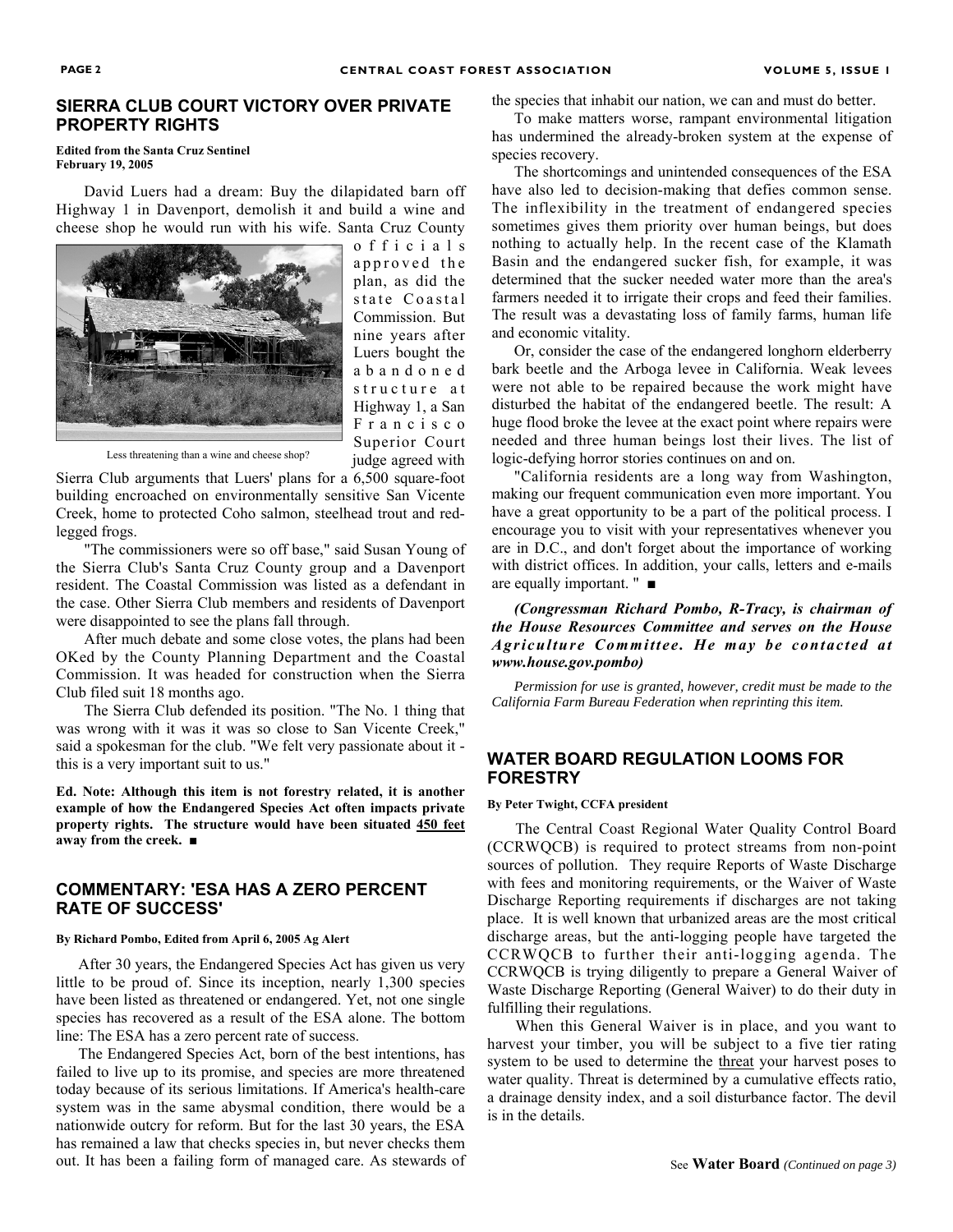## **SIERRA CLUB COURT VICTORY OVER PRIVATE PROPERTY RIGHTS**

#### **Edited from the Santa Cruz Sentinel February 19, 2005**

David Luers had a dream: Buy the dilapidated barn off Highway 1 in Davenport, demolish it and build a wine and cheese shop he would run with his wife. Santa Cruz County



o f f i c i a l s approved the plan, as did the state Coastal Commission. But nine years after Luers bought the a b a n d o n e d structure at Highway 1, a San F r a n c i s c o Superior Court judge agreed with

Less threatening than a wine and cheese shop?

Sierra Club arguments that Luers' plans for a 6,500 square-foot building encroached on environmentally sensitive San Vicente Creek, home to protected Coho salmon, steelhead trout and redlegged frogs.

"The commissioners were so off base," said Susan Young of the Sierra Club's Santa Cruz County group and a Davenport resident. The Coastal Commission was listed as a defendant in the case. Other Sierra Club members and residents of Davenport were disappointed to see the plans fall through.

After much debate and some close votes, the plans had been OKed by the County Planning Department and the Coastal Commission. It was headed for construction when the Sierra Club filed suit 18 months ago.

The Sierra Club defended its position. "The No. 1 thing that was wrong with it was it was so close to San Vicente Creek," said a spokesman for the club. "We felt very passionate about it this is a very important suit to us."

**Ed. Note: Although this item is not forestry related, it is another example of how the Endangered Species Act often impacts private property rights. The structure would have been situated 450 feet away from the creek. ■**

## **COMMENTARY: 'ESA HAS A ZERO PERCENT RATE OF SUCCESS'**

#### **By Richard Pombo, Edited from April 6, 2005 Ag Alert**

After 30 years, the Endangered Species Act has given us very little to be proud of. Since its inception, nearly 1,300 species have been listed as threatened or endangered. Yet, not one single species has recovered as a result of the ESA alone. The bottom line: The ESA has a zero percent rate of success.

The Endangered Species Act, born of the best intentions, has failed to live up to its promise, and species are more threatened today because of its serious limitations. If America's health-care system was in the same abysmal condition, there would be a nationwide outcry for reform. But for the last 30 years, the ESA has remained a law that checks species in, but never checks them out. It has been a failing form of managed care. As stewards of the species that inhabit our nation, we can and must do better.

To make matters worse, rampant environmental litigation has undermined the already-broken system at the expense of species recovery.

The shortcomings and unintended consequences of the ESA have also led to decision-making that defies common sense. The inflexibility in the treatment of endangered species sometimes gives them priority over human beings, but does nothing to actually help. In the recent case of the Klamath Basin and the endangered sucker fish, for example, it was determined that the sucker needed water more than the area's farmers needed it to irrigate their crops and feed their families. The result was a devastating loss of family farms, human life and economic vitality.

Or, consider the case of the endangered longhorn elderberry bark beetle and the Arboga levee in California. Weak levees were not able to be repaired because the work might have disturbed the habitat of the endangered beetle. The result: A huge flood broke the levee at the exact point where repairs were needed and three human beings lost their lives. The list of logic-defying horror stories continues on and on.

"California residents are a long way from Washington, making our frequent communication even more important. You have a great opportunity to be a part of the political process. I encourage you to visit with your representatives whenever you are in D.C., and don't forget about the importance of working with district offices. In addition, your calls, letters and e-mails are equally important. " *■*

*(Congressman Richard Pombo, R-Tracy, is chairman of the House Resources Committee and serves on the House Agriculture Committee. He may be contacted at www.house.gov.pombo)* 

*Permission for use is granted, however, credit must be made to the California Farm Bureau Federation when reprinting this item.* 

#### **WATER BOARD REGULATION LOOMS FOR FORESTRY**

#### **By Peter Twight, CCFA president**

The Central Coast Regional Water Quality Control Board (CCRWQCB) is required to protect streams from non-point sources of pollution. They require Reports of Waste Discharge with fees and monitoring requirements, or the Waiver of Waste Discharge Reporting requirements if discharges are not taking place. It is well known that urbanized areas are the most critical discharge areas, but the anti-logging people have targeted the CCRWQCB to further their anti-logging agenda. The CCRWQCB is trying diligently to prepare a General Waiver of Waste Discharge Reporting (General Waiver) to do their duty in fulfilling their regulations.

When this General Waiver is in place, and you want to harvest your timber, you will be subject to a five tier rating system to be used to determine the threat your harvest poses to water quality. Threat is determined by a cumulative effects ratio, a drainage density index, and a soil disturbance factor. The devil is in the details.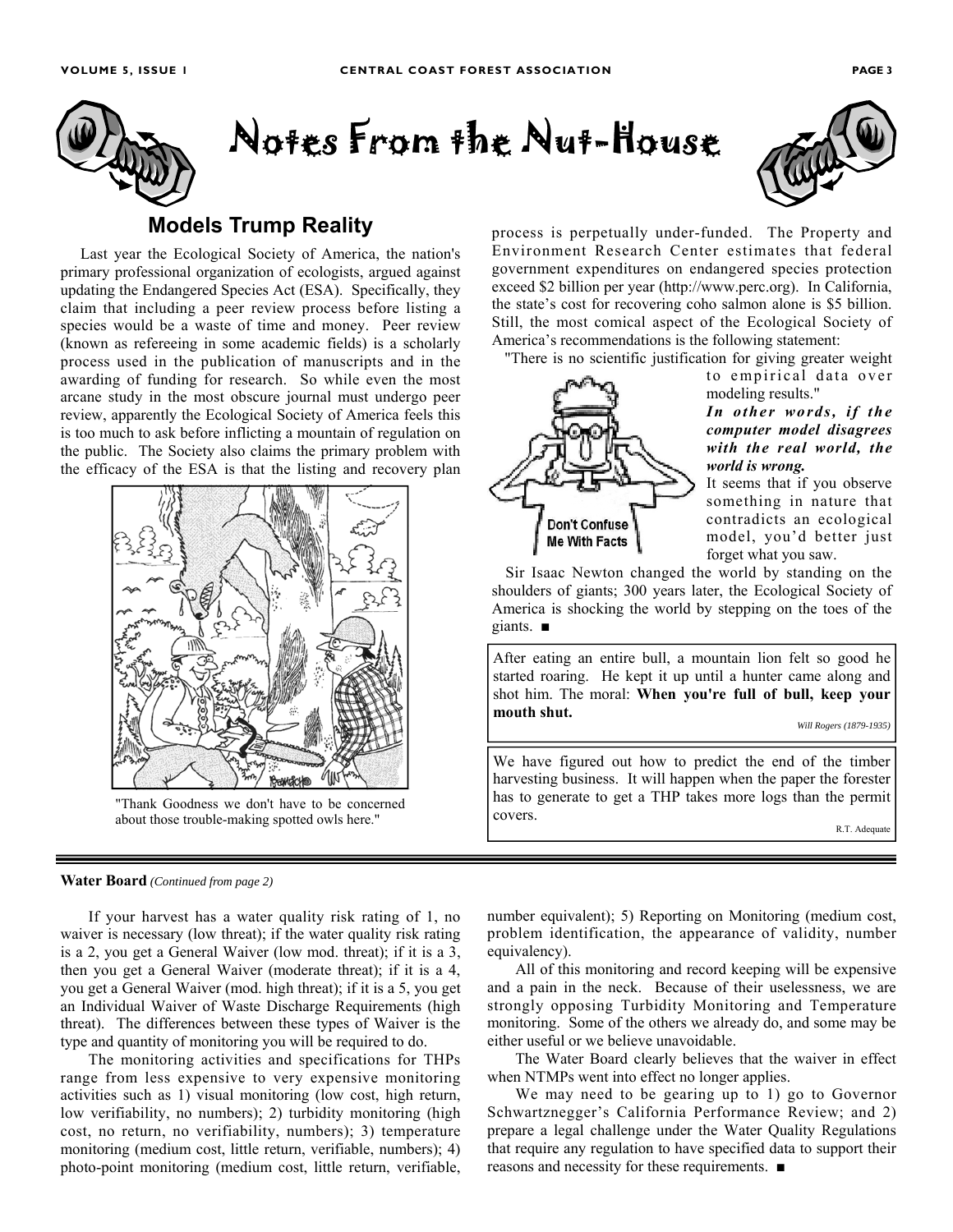

# Notes From the Nut-House



# **Models Trump Reality**

Last year the Ecological Society of America, the nation's primary professional organization of ecologists, argued against updating the Endangered Species Act (ESA). Specifically, they claim that including a peer review process before listing a species would be a waste of time and money. Peer review (known as refereeing in some academic fields) is a scholarly process used in the publication of manuscripts and in the awarding of funding for research. So while even the most arcane study in the most obscure journal must undergo peer review, apparently the Ecological Society of America feels this is too much to ask before inflicting a mountain of regulation on the public. The Society also claims the primary problem with the efficacy of the ESA is that the listing and recovery plan



"Thank Goodness we don't have to be concerned about those trouble-making spotted owls here."

#### process is perpetually under-funded. The Property and Environment Research Center estimates that federal government expenditures on endangered species protection exceed \$2 billion per year (http://www.perc.org). In California, the state's cost for recovering coho salmon alone is \$5 billion. Still, the most comical aspect of the Ecological Society of America's recommendations is the following statement:

"There is no scientific justification for giving greater weight



to empirical data over modeling results." *In other words, if the computer model disagrees with the real world, the* 

*world is wrong.*  It seems that if you observe something in nature that contradicts an ecological model, you'd better just forget what you saw.

Sir Isaac Newton changed the world by standing on the shoulders of giants; 300 years later, the Ecological Society of America is shocking the world by stepping on the toes of the giants. ■

After eating an entire bull, a mountain lion felt so good he started roaring. He kept it up until a hunter came along and shot him. The moral: **When you're full of bull, keep your mouth shut.**

*Will Rogers (1879-1935)* 

We have figured out how to predict the end of the timber harvesting business. It will happen when the paper the forester has to generate to get a THP takes more logs than the permit covers.

R.T. Adequate

#### **Water Board** *(Continued from page 2)*

If your harvest has a water quality risk rating of 1, no waiver is necessary (low threat); if the water quality risk rating is a 2, you get a General Waiver (low mod. threat); if it is a 3, then you get a General Waiver (moderate threat); if it is a 4, you get a General Waiver (mod. high threat); if it is a 5, you get an Individual Waiver of Waste Discharge Requirements (high threat). The differences between these types of Waiver is the type and quantity of monitoring you will be required to do.

The monitoring activities and specifications for THPs range from less expensive to very expensive monitoring activities such as 1) visual monitoring (low cost, high return, low verifiability, no numbers); 2) turbidity monitoring (high cost, no return, no verifiability, numbers); 3) temperature monitoring (medium cost, little return, verifiable, numbers); 4) photo-point monitoring (medium cost, little return, verifiable, number equivalent); 5) Reporting on Monitoring (medium cost, problem identification, the appearance of validity, number equivalency).

All of this monitoring and record keeping will be expensive and a pain in the neck. Because of their uselessness, we are strongly opposing Turbidity Monitoring and Temperature monitoring. Some of the others we already do, and some may be either useful or we believe unavoidable.

The Water Board clearly believes that the waiver in effect when NTMPs went into effect no longer applies.

We may need to be gearing up to 1) go to Governor Schwartznegger's California Performance Review; and 2) prepare a legal challenge under the Water Quality Regulations that require any regulation to have specified data to support their reasons and necessity for these requirements. ■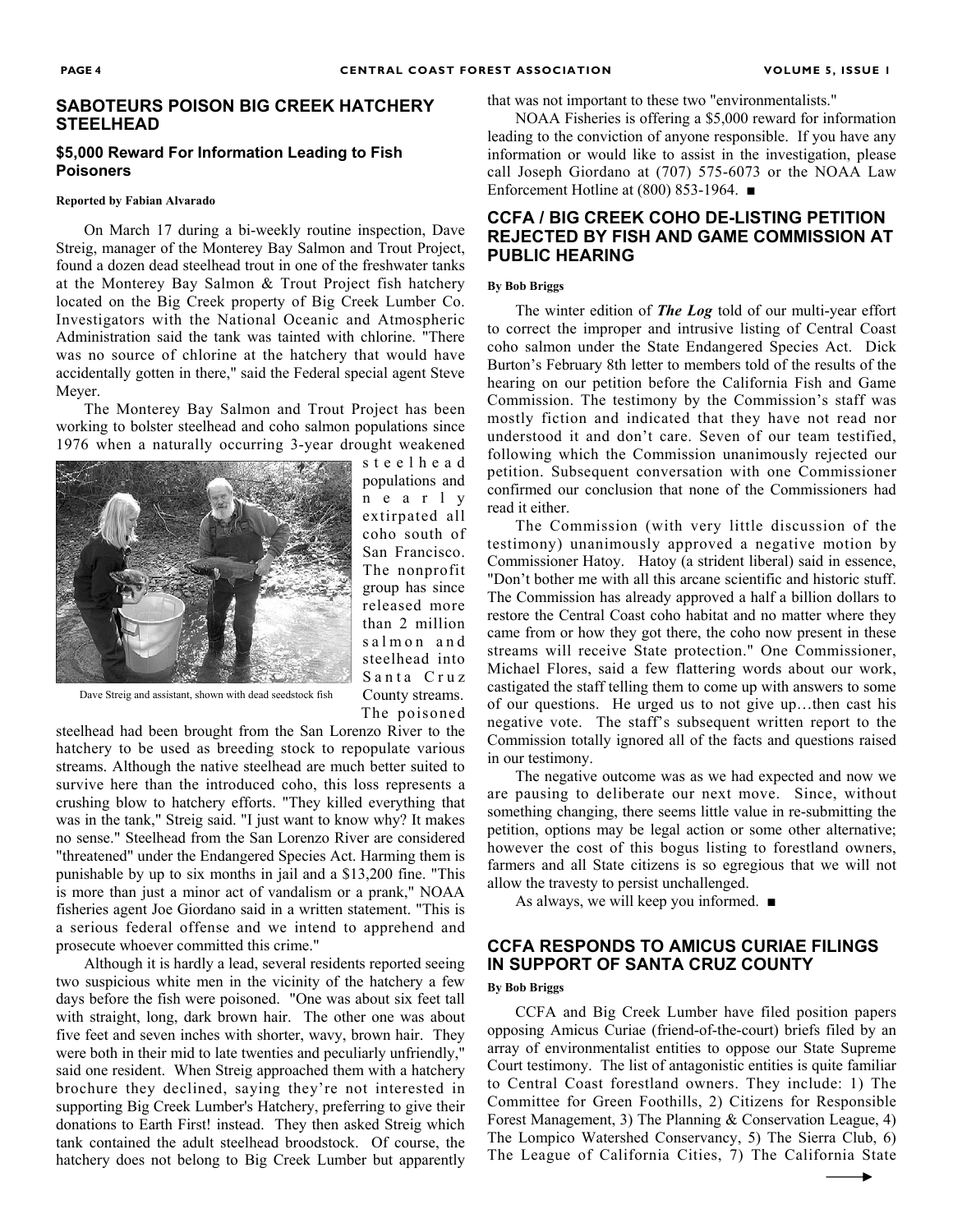#### **SABOTEURS POISON BIG CREEK HATCHERY STEELHEAD**

#### **\$5,000 Reward For Information Leading to Fish Poisoners**

#### **Reported by Fabian Alvarado**

On March 17 during a bi-weekly routine inspection, Dave Streig, manager of the Monterey Bay Salmon and Trout Project, found a dozen dead steelhead trout in one of the freshwater tanks at the Monterey Bay Salmon & Trout Project fish hatchery located on the Big Creek property of Big Creek Lumber Co. Investigators with the National Oceanic and Atmospheric Administration said the tank was tainted with chlorine. "There was no source of chlorine at the hatchery that would have accidentally gotten in there," said the Federal special agent Steve Meyer.

The Monterey Bay Salmon and Trout Project has been working to bolster steelhead and coho salmon populations since 1976 when a naturally occurring 3-year drought weakened



s t e e l h e a d populations and n e a r l y extirpated all coho south of San Francisco. The nonprofit group has since released more than 2 million salmon and steelhead into Santa Cruz County streams. The poisoned

Dave Streig and assistant, shown with dead seedstock fish

steelhead had been brought from the San Lorenzo River to the hatchery to be used as breeding stock to repopulate various streams. Although the native steelhead are much better suited to survive here than the introduced coho, this loss represents a crushing blow to hatchery efforts. "They killed everything that was in the tank," Streig said. "I just want to know why? It makes no sense." Steelhead from the San Lorenzo River are considered "threatened" under the Endangered Species Act. Harming them is punishable by up to six months in jail and a \$13,200 fine. "This is more than just a minor act of vandalism or a prank," NOAA fisheries agent Joe Giordano said in a written statement. "This is a serious federal offense and we intend to apprehend and prosecute whoever committed this crime."

Although it is hardly a lead, several residents reported seeing two suspicious white men in the vicinity of the hatchery a few days before the fish were poisoned. "One was about six feet tall with straight, long, dark brown hair. The other one was about five feet and seven inches with shorter, wavy, brown hair. They were both in their mid to late twenties and peculiarly unfriendly," said one resident. When Streig approached them with a hatchery brochure they declined, saying they're not interested in supporting Big Creek Lumber's Hatchery, preferring to give their donations to Earth First! instead. They then asked Streig which tank contained the adult steelhead broodstock. Of course, the hatchery does not belong to Big Creek Lumber but apparently that was not important to these two "environmentalists."

NOAA Fisheries is offering a \$5,000 reward for information leading to the conviction of anyone responsible. If you have any information or would like to assist in the investigation, please call Joseph Giordano at (707) 575-6073 or the NOAA Law Enforcement Hotline at (800) 853-1964. ■

### **CCFA / BIG CREEK COHO DE-LISTING PETITION REJECTED BY FISH AND GAME COMMISSION AT PUBLIC HEARING**

#### **By Bob Briggs**

The winter edition of *The Log* told of our multi-year effort to correct the improper and intrusive listing of Central Coast coho salmon under the State Endangered Species Act. Dick Burton's February 8th letter to members told of the results of the hearing on our petition before the California Fish and Game Commission. The testimony by the Commission's staff was mostly fiction and indicated that they have not read nor understood it and don't care. Seven of our team testified, following which the Commission unanimously rejected our petition. Subsequent conversation with one Commissioner confirmed our conclusion that none of the Commissioners had read it either.

The Commission (with very little discussion of the testimony) unanimously approved a negative motion by Commissioner Hatoy. Hatoy (a strident liberal) said in essence, "Don't bother me with all this arcane scientific and historic stuff. The Commission has already approved a half a billion dollars to restore the Central Coast coho habitat and no matter where they came from or how they got there, the coho now present in these streams will receive State protection." One Commissioner, Michael Flores, said a few flattering words about our work, castigated the staff telling them to come up with answers to some of our questions. He urged us to not give up…then cast his negative vote. The staff's subsequent written report to the Commission totally ignored all of the facts and questions raised in our testimony.

The negative outcome was as we had expected and now we are pausing to deliberate our next move. Since, without something changing, there seems little value in re-submitting the petition, options may be legal action or some other alternative; however the cost of this bogus listing to forestland owners, farmers and all State citizens is so egregious that we will not allow the travesty to persist unchallenged.

As always, we will keep you informed. ■

## **CCFA RESPONDS TO AMICUS CURIAE FILINGS IN SUPPORT OF SANTA CRUZ COUNTY**

#### **By Bob Briggs**

CCFA and Big Creek Lumber have filed position papers opposing Amicus Curiae (friend-of-the-court) briefs filed by an array of environmentalist entities to oppose our State Supreme Court testimony. The list of antagonistic entities is quite familiar to Central Coast forestland owners. They include: 1) The Committee for Green Foothills, 2) Citizens for Responsible Forest Management, 3) The Planning & Conservation League, 4) The Lompico Watershed Conservancy, 5) The Sierra Club, 6) The League of California Cities, 7) The California State

▸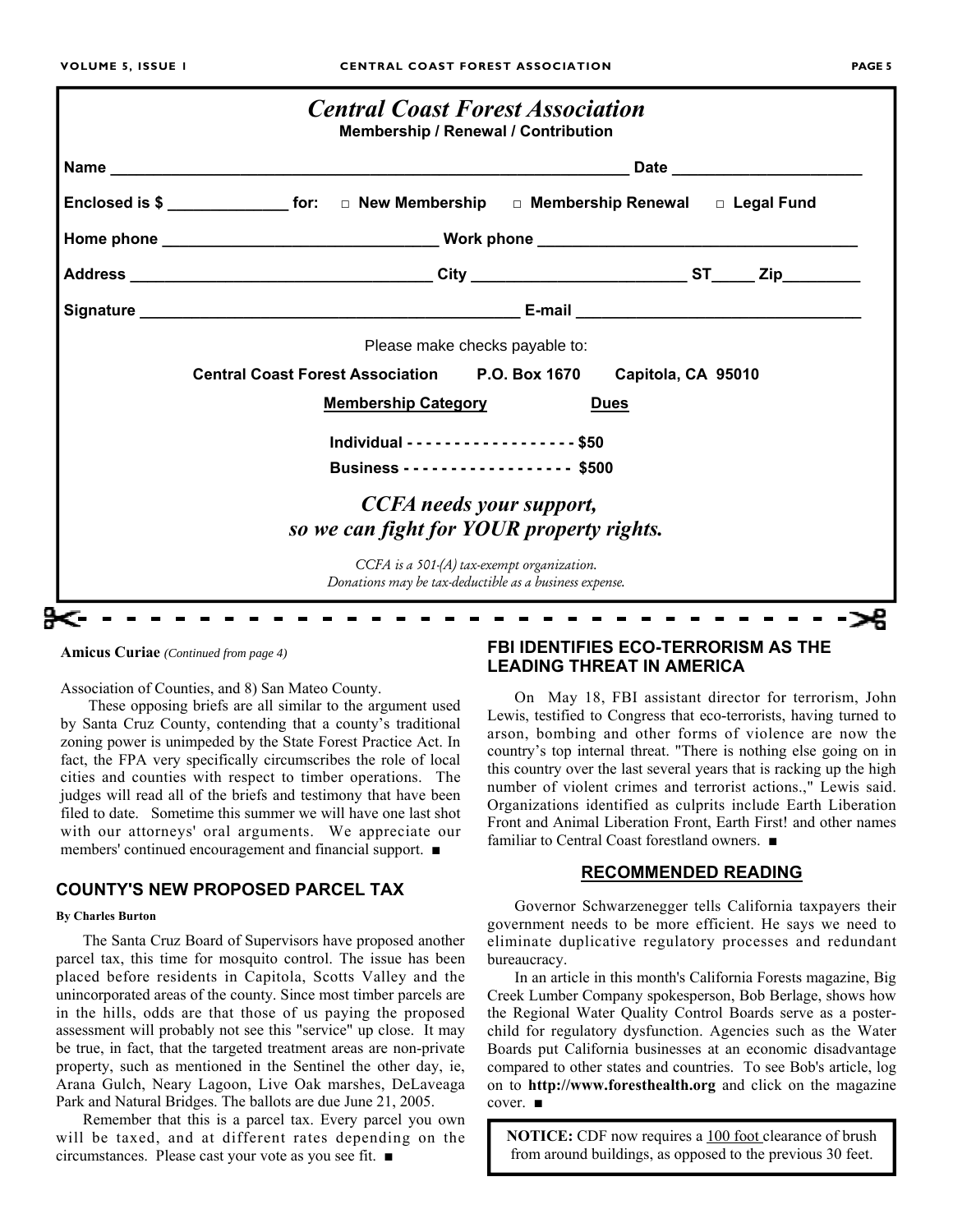|  | <b>Date Date Contract Contract Contract Contract Contract Contract Contract Contract Contract Contract Contract Contract Contract Contract Contract Contract Contract Contract Contract Contract Contract Contract Contract </b> |                                                                                                      |  |  |  |  |
|--|----------------------------------------------------------------------------------------------------------------------------------------------------------------------------------------------------------------------------------|------------------------------------------------------------------------------------------------------|--|--|--|--|
|  | Enclosed is \$ ______________________ for: □ New Membership □ Membership Renewal □ Legal Fund                                                                                                                                    |                                                                                                      |  |  |  |  |
|  |                                                                                                                                                                                                                                  |                                                                                                      |  |  |  |  |
|  |                                                                                                                                                                                                                                  |                                                                                                      |  |  |  |  |
|  |                                                                                                                                                                                                                                  |                                                                                                      |  |  |  |  |
|  |                                                                                                                                                                                                                                  | Please make checks payable to:                                                                       |  |  |  |  |
|  | Central Coast Forest Association P.O. Box 1670 Capitola, CA 95010                                                                                                                                                                |                                                                                                      |  |  |  |  |
|  | <b>Membership Category</b><br><b>Dues</b>                                                                                                                                                                                        |                                                                                                      |  |  |  |  |
|  | Individual - - - - - - - - - - - - - - - - - \$50                                                                                                                                                                                |                                                                                                      |  |  |  |  |
|  | Business - - - - - - - - - - - - - - - - - \$500                                                                                                                                                                                 |                                                                                                      |  |  |  |  |
|  | <b>CCFA</b> needs your support,                                                                                                                                                                                                  |                                                                                                      |  |  |  |  |
|  | so we can fight for YOUR property rights.                                                                                                                                                                                        |                                                                                                      |  |  |  |  |
|  |                                                                                                                                                                                                                                  | CCFA is a 501-(A) tax-exempt organization.<br>Donations may be tax-deductible as a business expense. |  |  |  |  |

Association of Counties, and 8) San Mateo County.

These opposing briefs are all similar to the argument used by Santa Cruz County, contending that a county's traditional zoning power is unimpeded by the State Forest Practice Act. In fact, the FPA very specifically circumscribes the role of local cities and counties with respect to timber operations. The judges will read all of the briefs and testimony that have been filed to date. Sometime this summer we will have one last shot with our attorneys' oral arguments. We appreciate our members' continued encouragement and financial support. ■

## **COUNTY'S NEW PROPOSED PARCEL TAX**

#### **By Charles Burton**

The Santa Cruz Board of Supervisors have proposed another parcel tax, this time for mosquito control. The issue has been placed before residents in Capitola, Scotts Valley and the unincorporated areas of the county. Since most timber parcels are in the hills, odds are that those of us paying the proposed assessment will probably not see this "service" up close. It may be true, in fact, that the targeted treatment areas are non-private property, such as mentioned in the Sentinel the other day, ie, Arana Gulch, Neary Lagoon, Live Oak marshes, DeLaveaga Park and Natural Bridges. The ballots are due June 21, 2005.

Remember that this is a parcel tax. Every parcel you own will be taxed, and at different rates depending on the circumstances. Please cast your vote as you see fit. ■

# **Amicus Curiae** *(Continued from page 4)* **FBI IDENTIFIES ECO-TERRORISM AS THE LEADING THREAT IN AMERICA**

On May 18, FBI assistant director for terrorism, John Lewis, testified to Congress that eco-terrorists, having turned to arson, bombing and other forms of violence are now the country's top internal threat. "There is nothing else going on in this country over the last several years that is racking up the high number of violent crimes and terrorist actions.," Lewis said. Organizations identified as culprits include Earth Liberation Front and Animal Liberation Front, Earth First! and other names familiar to Central Coast forestland owners. ■

### **RECOMMENDED READING**

Governor Schwarzenegger tells California taxpayers their government needs to be more efficient. He says we need to eliminate duplicative regulatory processes and redundant bureaucracy.

In an article in this month's California Forests magazine, Big Creek Lumber Company spokesperson, Bob Berlage, shows how the Regional Water Quality Control Boards serve as a posterchild for regulatory dysfunction. Agencies such as the Water Boards put California businesses at an economic disadvantage compared to other states and countries. To see Bob's article, log on to **http://www.foresthealth.org** and click on the magazine cover. ■

**NOTICE:** CDF now requires a 100 foot clearance of brush from around buildings, as opposed to the previous 30 feet.